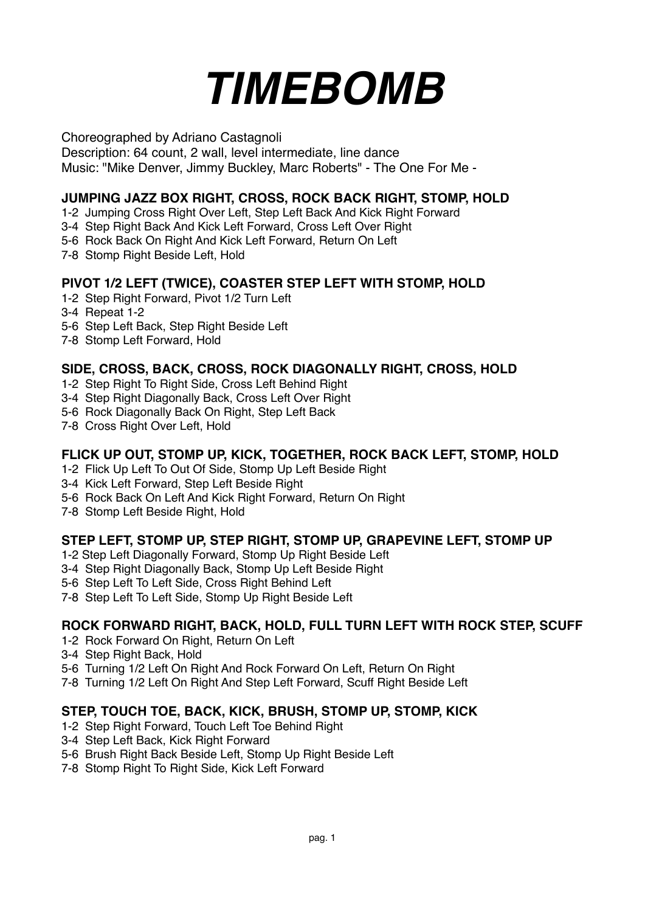

Choreographed by Adriano Castagnoli

Description: 64 count, 2 wall, level intermediate, line dance

Music: "Mike Denver, Jimmy Buckley, Marc Roberts" - The One For Me -

# **JUMPING JAZZ BOX RIGHT, CROSS, ROCK BACK RIGHT, STOMP, HOLD**

- 1-2 Jumping Cross Right Over Left, Step Left Back And Kick Right Forward
- 3-4 Step Right Back And Kick Left Forward, Cross Left Over Right
- 5-6 Rock Back On Right And Kick Left Forward, Return On Left
- 7-8 Stomp Right Beside Left, Hold

## **PIVOT 1/2 LEFT (TWICE), COASTER STEP LEFT WITH STOMP, HOLD**

- 1-2 Step Right Forward, Pivot 1/2 Turn Left
- 3-4 Repeat 1-2
- 5-6 Step Left Back, Step Right Beside Left
- 7-8 Stomp Left Forward, Hold

## **SIDE, CROSS, BACK, CROSS, ROCK DIAGONALLY RIGHT, CROSS, HOLD**

- 1-2 Step Right To Right Side, Cross Left Behind Right
- 3-4 Step Right Diagonally Back, Cross Left Over Right
- 5-6 Rock Diagonally Back On Right, Step Left Back
- 7-8 Cross Right Over Left, Hold

## **FLICK UP OUT, STOMP UP, KICK, TOGETHER, ROCK BACK LEFT, STOMP, HOLD**

- 1-2 Flick Up Left To Out Of Side, Stomp Up Left Beside Right
- 3-4 Kick Left Forward, Step Left Beside Right
- 5-6 Rock Back On Left And Kick Right Forward, Return On Right
- 7-8 Stomp Left Beside Right, Hold

# **STEP LEFT, STOMP UP, STEP RIGHT, STOMP UP, GRAPEVINE LEFT, STOMP UP**

- 1-2 Step Left Diagonally Forward, Stomp Up Right Beside Left
- 3-4 Step Right Diagonally Back, Stomp Up Left Beside Right
- 5-6 Step Left To Left Side, Cross Right Behind Left
- 7-8 Step Left To Left Side, Stomp Up Right Beside Left

## **ROCK FORWARD RIGHT, BACK, HOLD, FULL TURN LEFT WITH ROCK STEP, SCUFF**

- 1-2 Rock Forward On Right, Return On Left
- 3-4 Step Right Back, Hold
- 5-6 Turning 1/2 Left On Right And Rock Forward On Left, Return On Right
- 7-8 Turning 1/2 Left On Right And Step Left Forward, Scuff Right Beside Left

### **STEP, TOUCH TOE, BACK, KICK, BRUSH, STOMP UP, STOMP, KICK**

- 1-2 Step Right Forward, Touch Left Toe Behind Right
- 3-4 Step Left Back, Kick Right Forward
- 5-6 Brush Right Back Beside Left, Stomp Up Right Beside Left
- 7-8 Stomp Right To Right Side, Kick Left Forward